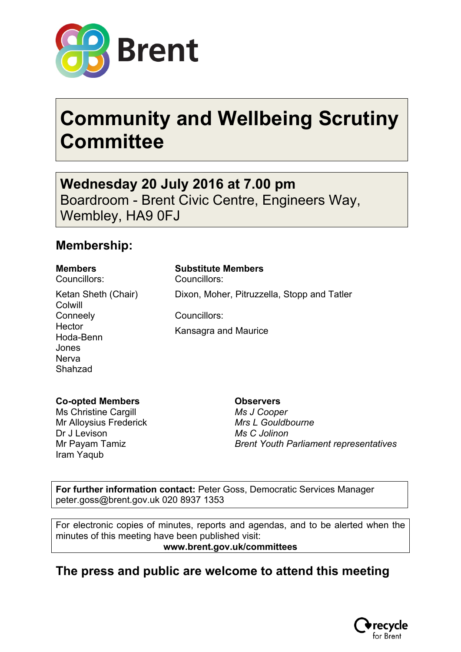

# **Community and Wellbeing Scrutiny Committee**

**Wednesday 20 July 2016 at 7.00 pm** Boardroom - Brent Civic Centre, Engineers Way, Wembley, HA9 0FJ

## **Membership:**

Councillors: Councillors:

Ketan Sheth (Chair) Colwill **Conneely Hector** Hoda-Benn Jones **Nerva** Shahzad

**Members Substitute Members**

Dixon, Moher, Pitruzzella, Stopp and Tatler

Councillors:

Kansagra and Maurice

### **Co-opted Members**

Ms Christine Cargill Mr Alloysius Frederick Dr J Levison Mr Payam Tamiz Iram Yaqub

**Observers** *Ms J Cooper Mrs L Gouldbourne Ms C Jolinon Brent Youth Parliament representatives*

**For further information contact:** Peter Goss, Democratic Services Manager peter.goss@brent.gov.uk 020 8937 1353

For electronic copies of minutes, reports and agendas, and to be alerted when the minutes of this meeting have been published visit: **www.brent.gov.uk/committees**

## **The press and public are welcome to attend this meeting**

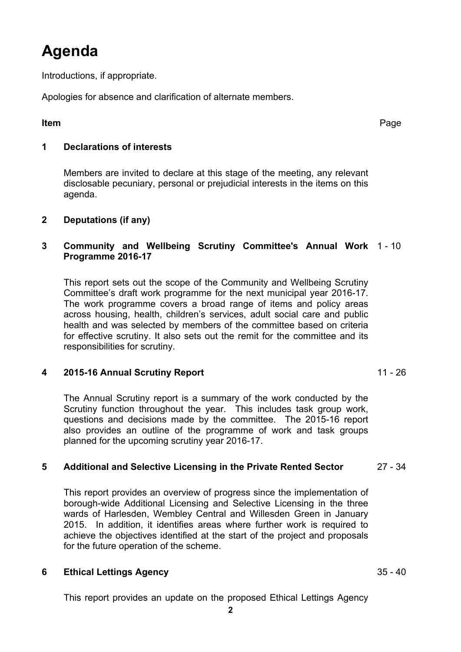# **Agenda**

Introductions, if appropriate.

Apologies for absence and clarification of alternate members.

**Item** Page

#### **1 Declarations of interests**

Members are invited to declare at this stage of the meeting, any relevant disclosable pecuniary, personal or prejudicial interests in the items on this agenda.

### **2 Deputations (if any)**

### **3 Community and Wellbeing Scrutiny Committee's Annual Work** 1 - 10 **Programme 2016-17**

This report sets out the scope of the Community and Wellbeing Scrutiny Committee's draft work programme for the next municipal year 2016-17. The work programme covers a broad range of items and policy areas across housing, health, children's services, adult social care and public health and was selected by members of the committee based on criteria for effective scrutiny. It also sets out the remit for the committee and its responsibilities for scrutiny.

### **4 2015-16 Annual Scrutiny Report** 11 - 26

The Annual Scrutiny report is a summary of the work conducted by the Scrutiny function throughout the year. This includes task group work, questions and decisions made by the committee. The 2015-16 report also provides an outline of the programme of work and task groups planned for the upcoming scrutiny year 2016-17.

### **5 Additional and Selective Licensing in the Private Rented Sector** 27 - 34

This report provides an overview of progress since the implementation of borough-wide Additional Licensing and Selective Licensing in the three wards of Harlesden, Wembley Central and Willesden Green in January 2015. In addition, it identifies areas where further work is required to achieve the objectives identified at the start of the project and proposals for the future operation of the scheme.

### **6 Ethical Lettings Agency** 35 - 40

This report provides an update on the proposed Ethical Lettings Agency